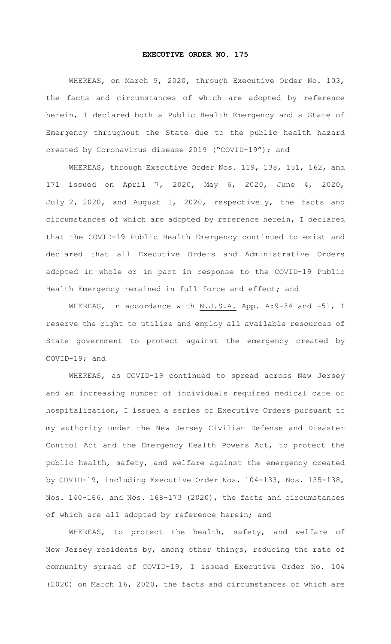## **EXECUTIVE ORDER NO. 175**

WHEREAS, on March 9, 2020, through Executive Order No. 103, the facts and circumstances of which are adopted by reference herein, I declared both a Public Health Emergency and a State of Emergency throughout the State due to the public health hazard created by Coronavirus disease 2019 ("COVID-19"); and

WHEREAS, through Executive Order Nos. 119, 138, 151, 162, and 171 issued on April 7, 2020, May 6, 2020, June 4, 2020, July 2, 2020, and August 1, 2020, respectively, the facts and circumstances of which are adopted by reference herein, I declared that the COVID-19 Public Health Emergency continued to exist and declared that all Executive Orders and Administrative Orders adopted in whole or in part in response to the COVID-19 Public Health Emergency remained in full force and effect; and

WHEREAS, in accordance with N.J.S.A. App. A: 9-34 and -51, I reserve the right to utilize and employ all available resources of State government to protect against the emergency created by COVID-19; and

WHEREAS, as COVID-19 continued to spread across New Jersey and an increasing number of individuals required medical care or hospitalization, I issued a series of Executive Orders pursuant to my authority under the New Jersey Civilian Defense and Disaster Control Act and the Emergency Health Powers Act, to protect the public health, safety, and welfare against the emergency created by COVID-19, including Executive Order Nos. 104-133, Nos. 135-138, Nos. 140-166, and Nos. 168-173 (2020), the facts and circumstances of which are all adopted by reference herein; and

WHEREAS, to protect the health, safety, and welfare of New Jersey residents by, among other things, reducing the rate of community spread of COVID-19, I issued Executive Order No. 104 (2020) on March 16, 2020, the facts and circumstances of which are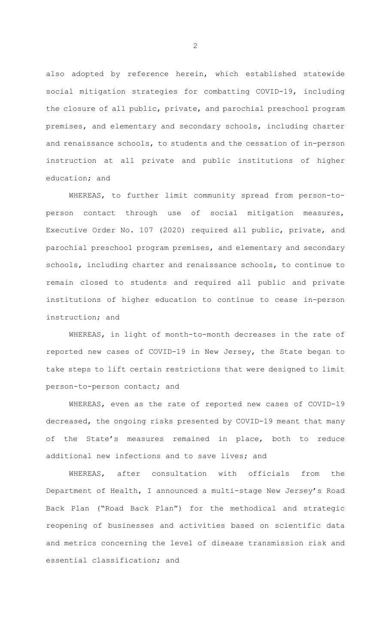also adopted by reference herein, which established statewide social mitigation strategies for combatting COVID-19, including the closure of all public, private, and parochial preschool program premises, and elementary and secondary schools, including charter and renaissance schools, to students and the cessation of in-person instruction at all private and public institutions of higher education; and

WHEREAS, to further limit community spread from person-toperson contact through use of social mitigation measures, Executive Order No. 107 (2020) required all public, private, and parochial preschool program premises, and elementary and secondary schools, including charter and renaissance schools, to continue to remain closed to students and required all public and private institutions of higher education to continue to cease in-person instruction; and

WHEREAS, in light of month-to-month decreases in the rate of reported new cases of COVID-19 in New Jersey, the State began to take steps to lift certain restrictions that were designed to limit person-to-person contact; and

WHEREAS, even as the rate of reported new cases of COVID-19 decreased, the ongoing risks presented by COVID-19 meant that many of the State's measures remained in place, both to reduce additional new infections and to save lives; and

WHEREAS, after consultation with officials from the Department of Health, I announced a multi-stage New Jersey's Road Back Plan ("Road Back Plan") for the methodical and strategic reopening of businesses and activities based on scientific data and metrics concerning the level of disease transmission risk and essential classification; and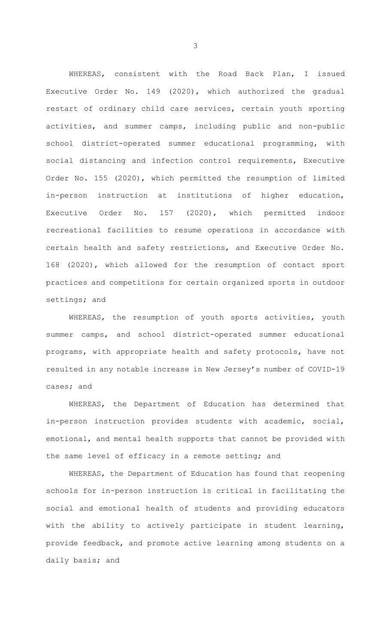WHEREAS, consistent with the Road Back Plan, I issued Executive Order No. 149 (2020), which authorized the gradual restart of ordinary child care services, certain youth sporting activities, and summer camps, including public and non-public school district-operated summer educational programming, with social distancing and infection control requirements, Executive Order No. 155 (2020), which permitted the resumption of limited in-person instruction at institutions of higher education, Executive Order No. 157 (2020), which permitted indoor recreational facilities to resume operations in accordance with certain health and safety restrictions, and Executive Order No. 168 (2020), which allowed for the resumption of contact sport practices and competitions for certain organized sports in outdoor settings; and

WHEREAS, the resumption of youth sports activities, youth summer camps, and school district-operated summer educational programs, with appropriate health and safety protocols, have not resulted in any notable increase in New Jersey's number of COVID-19 cases; and

WHEREAS, the Department of Education has determined that in-person instruction provides students with academic, social, emotional, and mental health supports that cannot be provided with the same level of efficacy in a remote setting; and

WHEREAS, the Department of Education has found that reopening schools for in-person instruction is critical in facilitating the social and emotional health of students and providing educators with the ability to actively participate in student learning, provide feedback, and promote active learning among students on a daily basis; and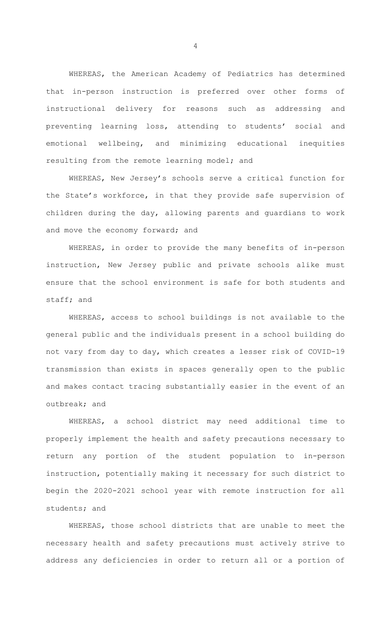WHEREAS, the American Academy of Pediatrics has determined that in-person instruction is preferred over other forms of instructional delivery for reasons such as addressing and preventing learning loss, attending to students' social and emotional wellbeing, and minimizing educational inequities resulting from the remote learning model; and

WHEREAS, New Jersey's schools serve a critical function for the State's workforce, in that they provide safe supervision of children during the day, allowing parents and guardians to work and move the economy forward; and

WHEREAS, in order to provide the many benefits of in-person instruction, New Jersey public and private schools alike must ensure that the school environment is safe for both students and staff; and

WHEREAS, access to school buildings is not available to the general public and the individuals present in a school building do not vary from day to day, which creates a lesser risk of COVID-19 transmission than exists in spaces generally open to the public and makes contact tracing substantially easier in the event of an outbreak; and

WHEREAS, a school district may need additional time to properly implement the health and safety precautions necessary to return any portion of the student population to in-person instruction, potentially making it necessary for such district to begin the 2020-2021 school year with remote instruction for all students; and

WHEREAS, those school districts that are unable to meet the necessary health and safety precautions must actively strive to address any deficiencies in order to return all or a portion of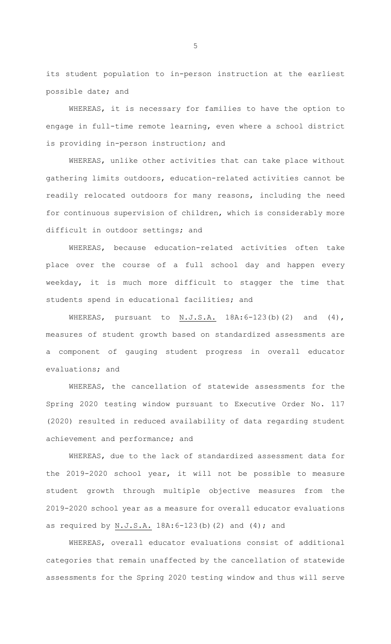its student population to in-person instruction at the earliest possible date; and

WHEREAS, it is necessary for families to have the option to engage in full-time remote learning, even where a school district is providing in-person instruction; and

WHEREAS, unlike other activities that can take place without gathering limits outdoors, education-related activities cannot be readily relocated outdoors for many reasons, including the need for continuous supervision of children, which is considerably more difficult in outdoor settings; and

WHEREAS, because education-related activities often take place over the course of a full school day and happen every weekday, it is much more difficult to stagger the time that students spend in educational facilities; and

WHEREAS, pursuant to N.J.S.A. 18A:6-123(b)(2) and (4), measures of student growth based on standardized assessments are a component of gauging student progress in overall educator evaluations; and

WHEREAS, the cancellation of statewide assessments for the Spring 2020 testing window pursuant to Executive Order No. 117 (2020) resulted in reduced availability of data regarding student achievement and performance; and

WHEREAS, due to the lack of standardized assessment data for the 2019-2020 school year, it will not be possible to measure student growth through multiple objective measures from the 2019-2020 school year as a measure for overall educator evaluations as required by N.J.S.A. 18A:6-123(b)(2) and (4); and

WHEREAS, overall educator evaluations consist of additional categories that remain unaffected by the cancellation of statewide assessments for the Spring 2020 testing window and thus will serve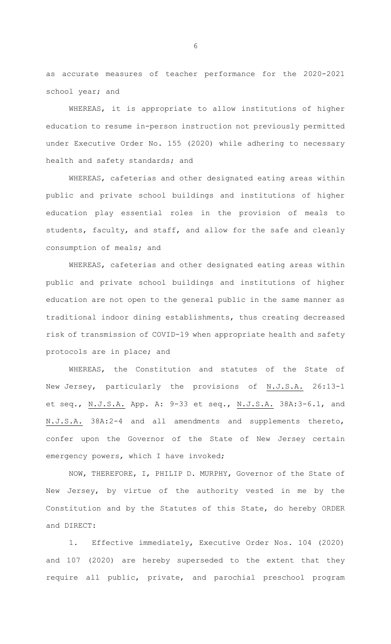as accurate measures of teacher performance for the 2020-2021 school year; and

WHEREAS, it is appropriate to allow institutions of higher education to resume in-person instruction not previously permitted under Executive Order No. 155 (2020) while adhering to necessary health and safety standards; and

WHEREAS, cafeterias and other designated eating areas within public and private school buildings and institutions of higher education play essential roles in the provision of meals to students, faculty, and staff, and allow for the safe and cleanly consumption of meals; and

WHEREAS, cafeterias and other designated eating areas within public and private school buildings and institutions of higher education are not open to the general public in the same manner as traditional indoor dining establishments, thus creating decreased risk of transmission of COVID-19 when appropriate health and safety protocols are in place; and

WHEREAS, the Constitution and statutes of the State of New Jersey, particularly the provisions of N.J.S.A. 26:13-1 et seq., N.J.S.A. App. A: 9-33 et seq., N.J.S.A. 38A:3-6.1, and N.J.S.A. 38A:2-4 and all amendments and supplements thereto, confer upon the Governor of the State of New Jersey certain emergency powers, which I have invoked;

NOW, THEREFORE, I, PHILIP D. MURPHY, Governor of the State of New Jersey, by virtue of the authority vested in me by the Constitution and by the Statutes of this State, do hereby ORDER and DIRECT:

1. Effective immediately, Executive Order Nos. 104 (2020) and 107 (2020) are hereby superseded to the extent that they require all public, private, and parochial preschool program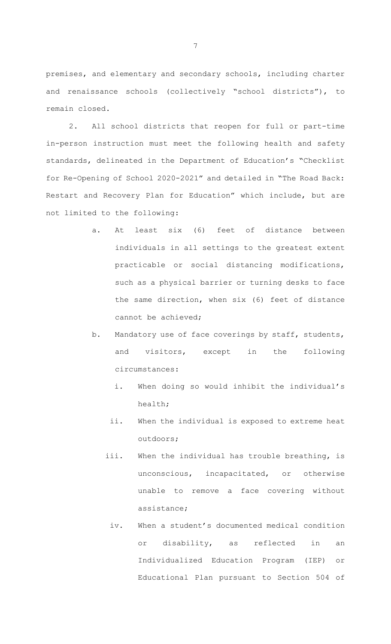premises, and elementary and secondary schools, including charter and renaissance schools (collectively "school districts"), to remain closed.

2. All school districts that reopen for full or part-time in-person instruction must meet the following health and safety standards, delineated in the Department of Education's "Checklist for Re-Opening of School 2020-2021" and detailed in "The Road Back: Restart and Recovery Plan for Education" which include, but are not limited to the following:

- a. At least six (6) feet of distance between individuals in all settings to the greatest extent practicable or social distancing modifications, such as a physical barrier or turning desks to face the same direction, when six (6) feet of distance cannot be achieved;
- b. Mandatory use of face coverings by staff, students, and visitors, except in the following circumstances:
	- i. When doing so would inhibit the individual's health;
	- ii. When the individual is exposed to extreme heat outdoors;
	- iii. When the individual has trouble breathing, is unconscious, incapacitated, or otherwise unable to remove a face covering without assistance;
		- iv. When a student's documented medical condition or disability, as reflected in an Individualized Education Program (IEP) or Educational Plan pursuant to Section 504 of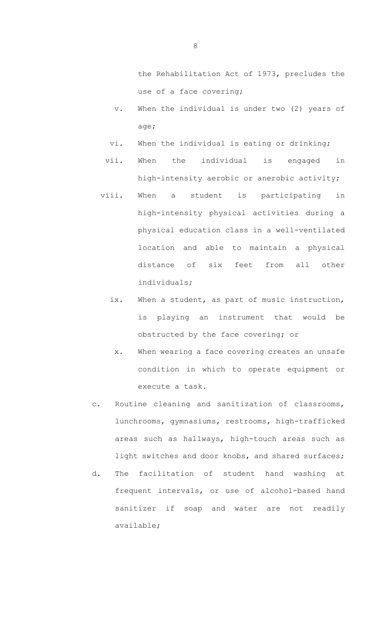the Rehabilitation Act of 1973, precludes the use of a face covering;

- v. When the individual is under two (2) years of age;
- vi. When the individual is eating or drinking;
- vii. When the individual is engaged in high-intensity aerobic or anerobic activity;
- viii. When a student is participating in high-intensity physical activities during a physical education class in a well-ventilated location and able to maintain a physical distance of six feet from all other individuals;
	- ix. When a student, as part of music instruction, is playing an instrument that would be obstructed by the face covering; or
		- x. When wearing a face covering creates an unsafe condition in which to operate equipment or execute a task.
- c. Routine cleaning and sanitization of classrooms, lunchrooms, gymnasiums, restrooms, high-trafficked areas such as hallways, high-touch areas such as light switches and door knobs, and shared surfaces;
- d. The facilitation of student hand washing at frequent intervals, or use of alcohol-based hand sanitizer if soap and water are not readily available;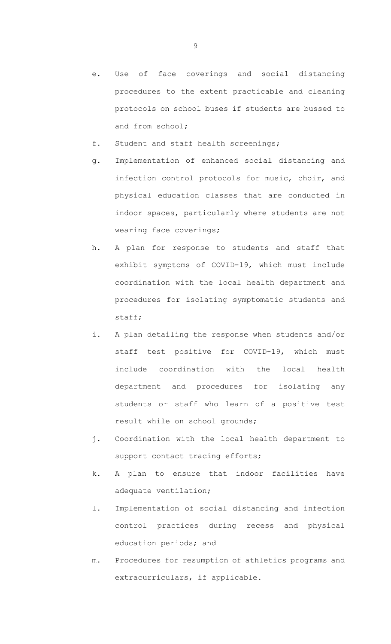- e. Use of face coverings and social distancing procedures to the extent practicable and cleaning protocols on school buses if students are bussed to and from school;
- f. Student and staff health screenings;
- g. Implementation of enhanced social distancing and infection control protocols for music, choir, and physical education classes that are conducted in indoor spaces, particularly where students are not wearing face coverings;
- h. A plan for response to students and staff that exhibit symptoms of COVID-19, which must include coordination with the local health department and procedures for isolating symptomatic students and staff;
- i. A plan detailing the response when students and/or staff test positive for COVID-19, which must include coordination with the local health department and procedures for isolating any students or staff who learn of a positive test result while on school grounds;
- j. Coordination with the local health department to support contact tracing efforts;
- k. A plan to ensure that indoor facilities have adequate ventilation;
- l. Implementation of social distancing and infection control practices during recess and physical education periods; and
- m. Procedures for resumption of athletics programs and extracurriculars, if applicable.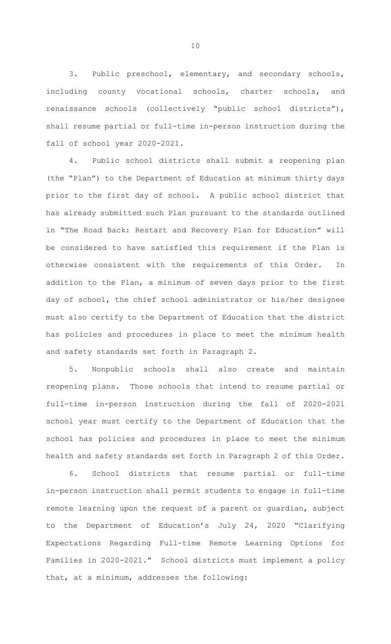3. Public preschool, elementary, and secondary schools, including county vocational schools, charter schools, and renaissance schools (collectively "public school districts"), shall resume partial or full-time in-person instruction during the fall of school year 2020-2021.

4. Public school districts shall submit a reopening plan (the "Plan") to the Department of Education at minimum thirty days prior to the first day of school. A public school district that has already submitted such Plan pursuant to the standards outlined in "The Road Back: Restart and Recovery Plan for Education" will be considered to have satisfied this requirement if the Plan is otherwise consistent with the requirements of this Order. In addition to the Plan, a minimum of seven days prior to the first day of school, the chief school administrator or his/her designee must also certify to the Department of Education that the district has policies and procedures in place to meet the minimum health and safety standards set forth in Paragraph 2.

5. Nonpublic schools shall also create and maintain reopening plans. Those schools that intend to resume partial or full-time in-person instruction during the fall of 2020-2021 school year must certify to the Department of Education that the school has policies and procedures in place to meet the minimum health and safety standards set forth in Paragraph 2 of this Order.

6. School districts that resume partial or full-time in-person instruction shall permit students to engage in full-time remote learning upon the request of a parent or guardian, subject to the Department of Education's July 24, 2020 "Clarifying Expectations Regarding Full-time Remote Learning Options for Families in 2020-2021." School districts must implement a policy that, at a minimum, addresses the following: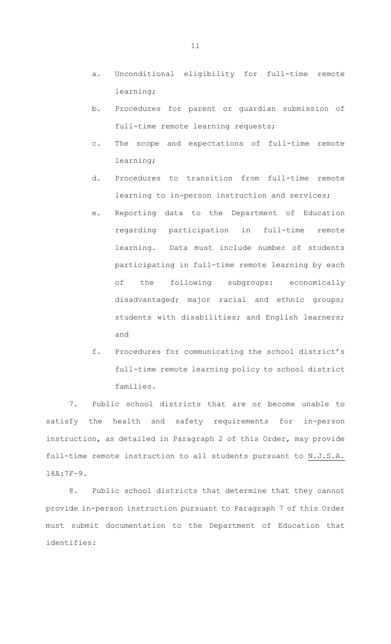- a. Unconditional eligibility for full-time remote learning;
- b. Procedures for parent or guardian submission of full-time remote learning requests;
- c. The scope and expectations of full-time remote learning;
- d. Procedures to transition from full-time remote learning to in-person instruction and services;
- e. Reporting data to the Department of Education regarding participation in full-time remote learning. Data must include number of students participating in full-time remote learning by each of the following subgroups: economically disadvantaged; major racial and ethnic groups; students with disabilities; and English learners; and
- f. Procedures for communicating the school district's full-time remote learning policy to school district families.

7. Public school districts that are or become unable to satisfy the health and safety requirements for in-person instruction, as detailed in Paragraph 2 of this Order, may provide full-time remote instruction to all students pursuant to N.J.S.A. 18A:7F-9.

8. Public school districts that determine that they cannot provide in-person instruction pursuant to Paragraph 7 of this Order must submit documentation to the Department of Education that identifies: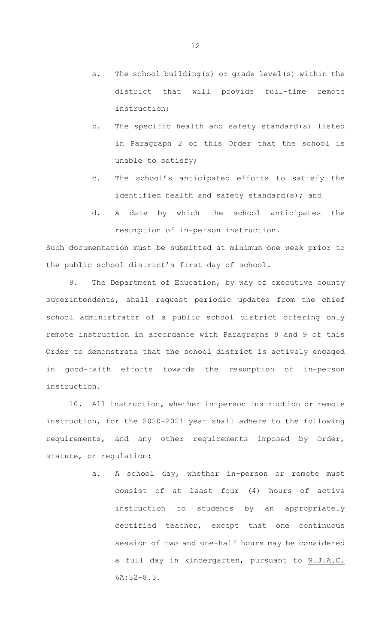- a. The school building(s) or grade level(s) within the district that will provide full-time remote instruction;
- b. The specific health and safety standard(s) listed in Paragraph 2 of this Order that the school is unable to satisfy;
- c. The school's anticipated efforts to satisfy the identified health and safety standard(s); and
- d. A date by which the school anticipates the resumption of in-person instruction.

Such documentation must be submitted at minimum one week prior to the public school district's first day of school.

9. The Department of Education, by way of executive county superintendents, shall request periodic updates from the chief school administrator of a public school district offering only remote instruction in accordance with Paragraphs 8 and 9 of this Order to demonstrate that the school district is actively engaged in good-faith efforts towards the resumption of in-person instruction.

10. All instruction, whether in-person instruction or remote instruction, for the 2020-2021 year shall adhere to the following requirements, and any other requirements imposed by Order, statute, or regulation:

> a. A school day, whether in-person or remote must consist of at least four (4) hours of active instruction to students by an appropriately certified teacher, except that one continuous session of two and one-half hours may be considered a full day in kindergarten, pursuant to N.J.A.C. 6A:32-8.3.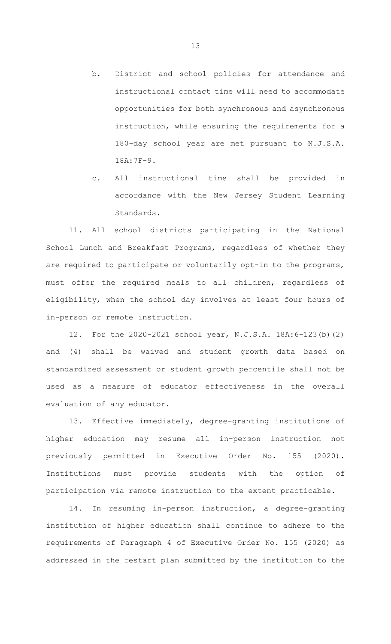- b. District and school policies for attendance and instructional contact time will need to accommodate opportunities for both synchronous and asynchronous instruction, while ensuring the requirements for a 180-day school year are met pursuant to N.J.S.A. 18A:7F-9.
- c. All instructional time shall be provided in accordance with the New Jersey Student Learning Standards.

11. All school districts participating in the National School Lunch and Breakfast Programs, regardless of whether they are required to participate or voluntarily opt-in to the programs, must offer the required meals to all children, regardless of eligibility, when the school day involves at least four hours of in-person or remote instruction.

12. For the 2020-2021 school year, N.J.S.A. 18A:6-123(b)(2) and (4) shall be waived and student growth data based on standardized assessment or student growth percentile shall not be used as a measure of educator effectiveness in the overall evaluation of any educator.

13. Effective immediately, degree-granting institutions of higher education may resume all in-person instruction not previously permitted in Executive Order No. 155 (2020). Institutions must provide students with the option of participation via remote instruction to the extent practicable.

14. In resuming in-person instruction, a degree-granting institution of higher education shall continue to adhere to the requirements of Paragraph 4 of Executive Order No. 155 (2020) as addressed in the restart plan submitted by the institution to the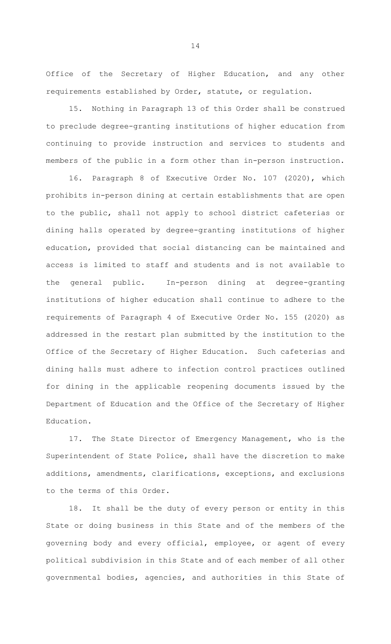Office of the Secretary of Higher Education, and any other requirements established by Order, statute, or regulation.

15. Nothing in Paragraph 13 of this Order shall be construed to preclude degree-granting institutions of higher education from continuing to provide instruction and services to students and members of the public in a form other than in-person instruction.

16. Paragraph 8 of Executive Order No. 107 (2020), which prohibits in-person dining at certain establishments that are open to the public, shall not apply to school district cafeterias or dining halls operated by degree-granting institutions of higher education, provided that social distancing can be maintained and access is limited to staff and students and is not available to the general public. In-person dining at degree-granting institutions of higher education shall continue to adhere to the requirements of Paragraph 4 of Executive Order No. 155 (2020) as addressed in the restart plan submitted by the institution to the Office of the Secretary of Higher Education. Such cafeterias and dining halls must adhere to infection control practices outlined for dining in the applicable reopening documents issued by the Department of Education and the Office of the Secretary of Higher Education.

17. The State Director of Emergency Management, who is the Superintendent of State Police, shall have the discretion to make additions, amendments, clarifications, exceptions, and exclusions to the terms of this Order.

18. It shall be the duty of every person or entity in this State or doing business in this State and of the members of the governing body and every official, employee, or agent of every political subdivision in this State and of each member of all other governmental bodies, agencies, and authorities in this State of